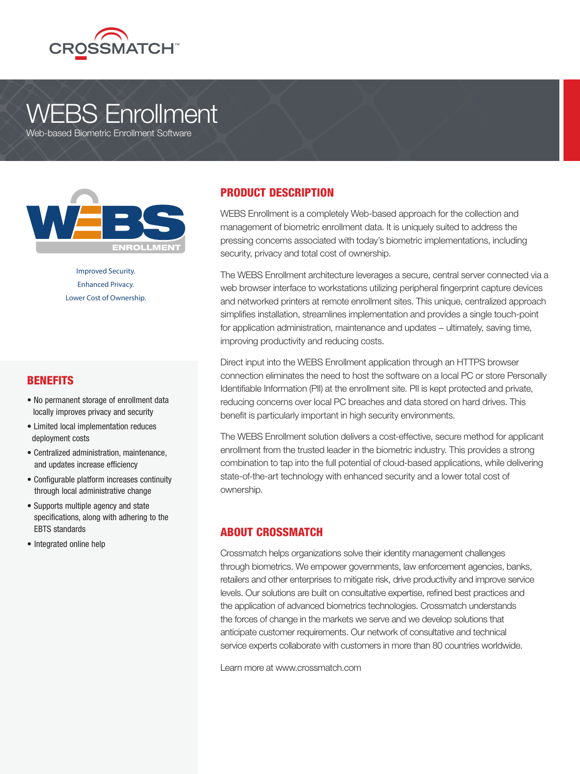

# WEBS Enrollment

Web-based Biometric Enrollment Software



Improved Security. Enhanced Privacy. Lower Cost of Ownership.

#### BENEFITS

- No permanent storage of enrollment data locally improves privacy and security
- Limited local implementation reduces deployment costs
- Centralized administration, maintenance, and updates increase efficiency
- Configurable platform increases continuity through local administrative change
- Supports multiple agency and state specifications, along with adhering to the EBTS standards
- Integrated online help

# PRODUCT DESCRIPTION

WEBS Enrollment is a completely Web-based approach for the collection and management of biometric enrollment data. It is uniquely suited to address the pressing concerns associated with today's biometric implementations, including security, privacy and total cost of ownership.

The WEBS Enrollment architecture leverages a secure, central server connected via a web browser interface to workstations utilizing peripheral fingerprint capture devices and networked printers at remote enrollment sites. This unique, centralized approach simplifies installation, streamlines implementation and provides a single touch-point for application administration, maintenance and updates - ultimately, saving time, improving productivity and reducing costs.

Direct input into the WEBS Enrollment application through an HTTPS browser connection eliminates the need to host the software on a local PC or store Personally Identifiable Information (PII) at the enrollment site. PII is kept protected and private, reducing concerns over local PC breaches and data stored on hard drives. This benefit is particularly important in high security environments.

The WEBS Enrollment solution delivers a cost-effective, secure method for applicant enrollment from the trusted leader in the biometric industry. This provides a strong combination to tap into the full potential of cloud-based applications, while delivering state-of-the-art technology with enhanced security and a lower total cost of ownership.

#### ABOUT CROSSMATCH

Crossmatch helps organizations solve their identity management challenges through biometrics. We empower governments, law enforcement agencies, banks, retailers and other enterprises to mitigate risk, drive productivity and improve service levels. Our solutions are built on consultative expertise, refined best practices and the application of advanced biometrics technologies. Crossmatch understands the forces of change in the markets we serve and we develop solutions that anticipate customer requirements. Our network of consultative and technical service experts collaborate with customers in more than 80 countries worldwide.

Learn more at www.crossmatch.com